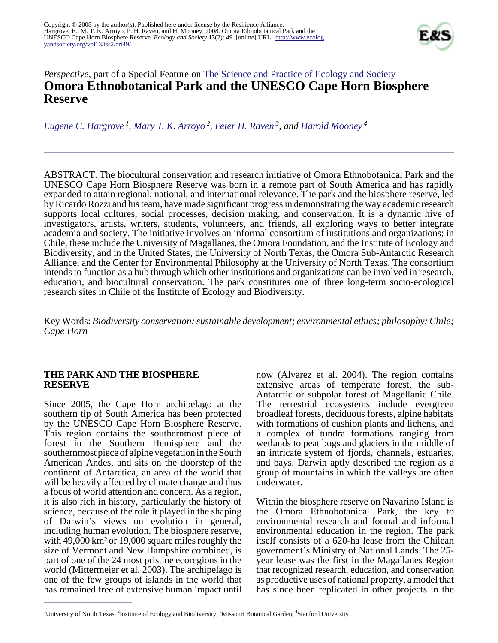

# *Perspective*, part of a Special Feature on **The Science and Practice of Ecology and Society Omora Ethnobotanical Park and the UNESCO Cape Horn Biosphere Reserve**

*[Eugene C. Hargrove](mailto:hargrove@unt.edu)<sup>1</sup> , [Mary T. K. Arroyo](mailto:southern@uchile.cl)<sup>2</sup> , [Peter H. Raven](mailto:peter.raven@mobot.org)<sup>3</sup>, and [Harold Mooney](mailto:hmooney@stanford.edu)<sup>4</sup>*

ABSTRACT. The biocultural conservation and research initiative of Omora Ethnobotanical Park and the UNESCO Cape Horn Biosphere Reserve was born in a remote part of South America and has rapidly expanded to attain regional, national, and international relevance. The park and the biosphere reserve, led by Ricardo Rozzi and his team, have made significant progress in demonstrating the way academic research supports local cultures, social processes, decision making, and conservation. It is a dynamic hive of investigators, artists, writers, students, volunteers, and friends, all exploring ways to better integrate academia and society. The initiative involves an informal consortium of institutions and organizations; in Chile, these include the University of Magallanes, the Omora Foundation, and the Institute of Ecology and Biodiversity, and in the United States, the University of North Texas, the Omora Sub-Antarctic Research Alliance, and the Center for Environmental Philosophy at the University of North Texas. The consortium intends to function as a hub through which other institutions and organizations can be involved in research, education, and biocultural conservation. The park constitutes one of three long-term socio-ecological research sites in Chile of the Institute of Ecology and Biodiversity.

Key Words: *Biodiversity conservation; sustainable development; environmental ethics; philosophy; Chile; Cape Horn*

## **THE PARK AND THE BIOSPHERE RESERVE**

Since 2005, the Cape Horn archipelago at the southern tip of South America has been protected by the UNESCO Cape Horn Biosphere Reserve. This region contains the southernmost piece of forest in the Southern Hemisphere and the southernmost piece of alpine vegetation in the South American Andes, and sits on the doorstep of the continent of Antarctica, an area of the world that will be heavily affected by climate change and thus a focus of world attention and concern. As a region, it is also rich in history, particularly the history of science, because of the role it played in the shaping of Darwin's views on evolution in general, including human evolution. The biosphere reserve, with 49,000 km<sup>2</sup> or 19,000 square miles roughly the size of Vermont and New Hampshire combined, is part of one of the 24 most pristine ecoregions in the world (Mittermeier et al. 2003). The archipelago is one of the few groups of islands in the world that has remained free of extensive human impact until

now (Alvarez et al. 2004). The region contains extensive areas of temperate forest, the sub-Antarctic or subpolar forest of Magellanic Chile. The terrestrial ecosystems include evergreen broadleaf forests, deciduous forests, alpine habitats with formations of cushion plants and lichens, and a complex of tundra formations ranging from wetlands to peat bogs and glaciers in the middle of an intricate system of fjords, channels, estuaries, and bays. Darwin aptly described the region as a group of mountains in which the valleys are often underwater.

Within the biosphere reserve on Navarino Island is the Omora Ethnobotanical Park, the key to environmental research and formal and informal environmental education in the region. The park itself consists of a 620-ha lease from the Chilean government's Ministry of National Lands. The 25 year lease was the first in the Magallanes Region that recognized research, education, and conservation as productive uses of national property, a model that has since been replicated in other projects in the

<sup>&</sup>lt;sup>1</sup>University of North Texas, <sup>2</sup>Institute of Ecology and Biodiversity, <sup>3</sup>Missouri Botanical Garden, <sup>4</sup>Stanford University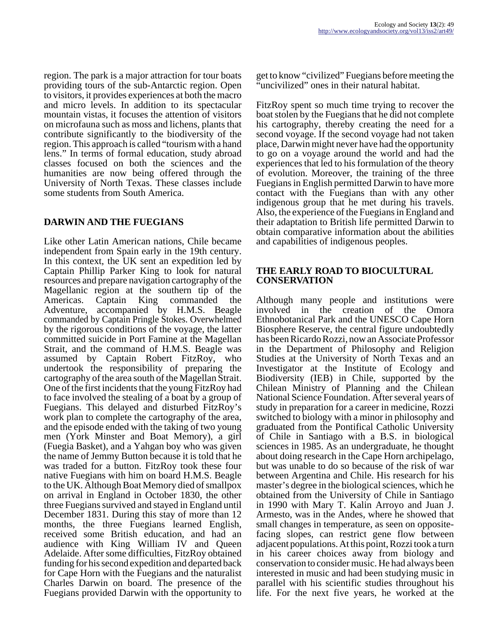region. The park is a major attraction for tour boats providing tours of the sub-Antarctic region. Open to visitors, it provides experiences at both the macro and micro levels. In addition to its spectacular mountain vistas, it focuses the attention of visitors on microfauna such as moss and lichens, plants that contribute significantly to the biodiversity of the region. This approach is called "tourism with a hand lens." In terms of formal education, study abroad classes focused on both the sciences and the humanities are now being offered through the University of North Texas. These classes include some students from South America.

## **DARWIN AND THE FUEGIANS**

Like other Latin American nations, Chile became independent from Spain early in the 19th century. In this context, the UK sent an expedition led by Captain Phillip Parker King to look for natural resources and prepare navigation cartography of the Magellanic region at the southern tip of the Americas. Captain King commanded the Adventure, accompanied by H.M.S. Beagle commanded by Captain Pringle Stokes. Overwhelmed by the rigorous conditions of the voyage, the latter committed suicide in Port Famine at the Magellan Strait, and the command of H.M.S. Beagle was assumed by Captain Robert FitzRoy, who undertook the responsibility of preparing the cartography of the area south of the Magellan Strait. One of the first incidents that the young FitzRoy had to face involved the stealing of a boat by a group of Fuegians. This delayed and disturbed FitzRoy's work plan to complete the cartography of the area, and the episode ended with the taking of two young men (York Minster and Boat Memory), a girl (Fuegia Basket), and a Yahgan boy who was given the name of Jemmy Button because it is told that he was traded for a button. FitzRoy took these four native Fuegians with him on board H.M.S. Beagle to the UK. Although Boat Memory died of smallpox on arrival in England in October 1830, the other three Fuegians survived and stayed in England until December 1831. During this stay of more than 12 months, the three Fuegians learned English, received some British education, and had an audience with King William IV and Queen Adelaide. After some difficulties, FitzRoy obtained funding for his second expedition and departed back for Cape Horn with the Fuegians and the naturalist Charles Darwin on board. The presence of the Fuegians provided Darwin with the opportunity to

get to know "civilized" Fuegians before meeting the 'uncivilized'' ones in their natural habitat.

FitzRoy spent so much time trying to recover the boat stolen by the Fuegians that he did not complete his cartography, thereby creating the need for a second voyage. If the second voyage had not taken place, Darwin might never have had the opportunity to go on a voyage around the world and had the experiences that led to his formulation of the theory of evolution. Moreover, the training of the three Fuegians in English permitted Darwin to have more contact with the Fuegians than with any other indigenous group that he met during his travels. Also, the experience of the Fuegians in England and their adaptation to British life permitted Darwin to obtain comparative information about the abilities and capabilities of indigenous peoples.

## **THE EARLY ROAD TO BIOCULTURAL CONSERVATION**

Although many people and institutions were<br>involved in the creation of the Omora the creation of the Omora Ethnobotanical Park and the UNESCO Cape Horn Biosphere Reserve, the central figure undoubtedly has been Ricardo Rozzi, now an Associate Professor in the Department of Philosophy and Religion Studies at the University of North Texas and an Investigator at the Institute of Ecology and Biodiversity (IEB) in Chile, supported by the Chilean Ministry of Planning and the Chilean National Science Foundation. After several years of study in preparation for a career in medicine, Rozzi switched to biology with a minor in philosophy and graduated from the Pontifical Catholic University of Chile in Santiago with a B.S. in biological sciences in 1985. As an undergraduate, he thought about doing research in the Cape Horn archipelago, but was unable to do so because of the risk of war between Argentina and Chile. His research for his master's degree in the biological sciences, which he obtained from the University of Chile in Santiago in 1990 with Mary T. Kalin Arroyo and Juan J. Armesto, was in the Andes, where he showed that small changes in temperature, as seen on oppositefacing slopes, can restrict gene flow between adjacent populations. At this point, Rozzi took a turn in his career choices away from biology and conservation to consider music. He had always been interested in music and had been studying music in parallel with his scientific studies throughout his life. For the next five years, he worked at the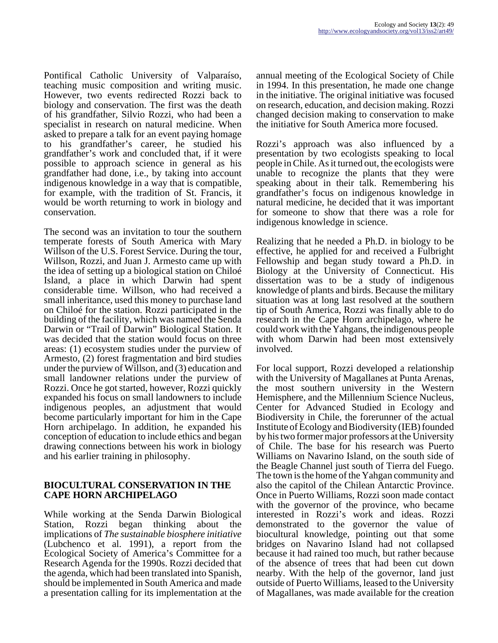Pontifical Catholic University of Valparaíso, teaching music composition and writing music. However, two events redirected Rozzi back to biology and conservation. The first was the death of his grandfather, Silvio Rozzi, who had been a specialist in research on natural medicine. When asked to prepare a talk for an event paying homage to his grandfather's career, he studied his grandfather's work and concluded that, if it were possible to approach science in general as his grandfather had done, i.e., by taking into account indigenous knowledge in a way that is compatible, for example, with the tradition of St. Francis, it would be worth returning to work in biology and conservation.

The second was an invitation to tour the southern temperate forests of South America with Mary Willson of the U.S. Forest Service. During the tour, Willson, Rozzi, and Juan J. Armesto came up with the idea of setting up a biological station on Chiloé Island, a place in which Darwin had spent considerable time. Willson, who had received a small inheritance, used this money to purchase land on Chiloé for the station. Rozzi participated in the building of the facility, which was named the Senda Darwin or "Trail of Darwin" Biological Station. It was decided that the station would focus on three areas: (1) ecosystem studies under the purview of Armesto, (2) forest fragmentation and bird studies under the purview of Willson, and (3) education and small landowner relations under the purview of Rozzi. Once he got started, however, Rozzi quickly expanded his focus on small landowners to include indigenous peoples, an adjustment that would become particularly important for him in the Cape Horn archipelago. In addition, he expanded his conception of education to include ethics and began drawing connections between his work in biology and his earlier training in philosophy.

## **BIOCULTURAL CONSERVATION IN THE CAPE HORN ARCHIPELAGO**

While working at the Senda Darwin Biological Station, Rozzi began thinking about the implications of *The sustainable biosphere initiative* (Lubchenco et al. 1991), a report from the Ecological Society of America's Committee for a Research Agenda for the 1990s. Rozzi decided that the agenda, which had been translated into Spanish, should be implemented in South America and made a presentation calling for its implementation at the

annual meeting of the Ecological Society of Chile in 1994. In this presentation, he made one change in the initiative. The original initiative was focused on research, education, and decision making. Rozzi changed decision making to conservation to make the initiative for South America more focused.

Rozzi's approach was also influenced by a presentation by two ecologists speaking to local people in Chile. As it turned out, the ecologists were unable to recognize the plants that they were speaking about in their talk. Remembering his grandfather's focus on indigenous knowledge in natural medicine, he decided that it was important for someone to show that there was a role for indigenous knowledge in science.

Realizing that he needed a Ph.D. in biology to be effective, he applied for and received a Fulbright Fellowship and began study toward a Ph.D. in Biology at the University of Connecticut. His dissertation was to be a study of indigenous knowledge of plants and birds. Because the military situation was at long last resolved at the southern tip of South America, Rozzi was finally able to do research in the Cape Horn archipelago, where he could work with the Yahgans, the indigenous people with whom Darwin had been most extensively involved.

For local support, Rozzi developed a relationship with the University of Magallanes at Punta Arenas, the most southern university in the Western Hemisphere, and the Millennium Science Nucleus, Center for Advanced Studied in Ecology and Biodiversity in Chile, the forerunner of the actual Institute of Ecology and Biodiversity (IEB) founded by his two former major professors at the University of Chile. The base for his research was Puerto Williams on Navarino Island, on the south side of the Beagle Channel just south of Tierra del Fuego. The town is the home of the Yahgan community and also the capitol of the Chilean Antarctic Province. Once in Puerto Williams, Rozzi soon made contact with the governor of the province, who became interested in Rozzi's work and ideas. Rozzi demonstrated to the governor the value of biocultural knowledge, pointing out that some bridges on Navarino Island had not collapsed because it had rained too much, but rather because of the absence of trees that had been cut down nearby. With the help of the governor, land just outside of Puerto Williams, leased to the University of Magallanes, was made available for the creation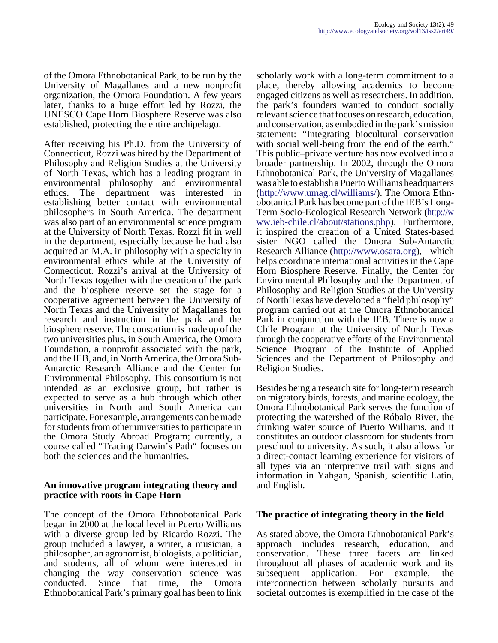of the Omora Ethnobotanical Park, to be run by the University of Magallanes and a new nonprofit organization, the Omora Foundation. A few years later, thanks to a huge effort led by Rozzi, the UNESCO Cape Horn Biosphere Reserve was also established, protecting the entire archipelago.

After receiving his Ph.D. from the University of Connecticut, Rozzi was hired by the Department of Philosophy and Religion Studies at the University of North Texas, which has a leading program in environmental philosophy and environmental ethics. The department was interested in establishing better contact with environmental philosophers in South America. The department was also part of an environmental science program at the University of North Texas. Rozzi fit in well in the department, especially because he had also acquired an M.A. in philosophy with a specialty in environmental ethics while at the University of Connecticut. Rozzi's arrival at the University of North Texas together with the creation of the park and the biosphere reserve set the stage for a cooperative agreement between the University of North Texas and the University of Magallanes for research and instruction in the park and the biosphere reserve. The consortium is made up of the two universities plus, in South America, the Omora Foundation, a nonprofit associated with the park, and the IEB, and, in North America, the Omora Sub-Antarctic Research Alliance and the Center for Environmental Philosophy. This consortium is not intended as an exclusive group, but rather is expected to serve as a hub through which other universities in North and South America can participate. For example, arrangements can be made for students from other universities to participate in the Omora Study Abroad Program; currently, a course called "Tracing Darwin's Path" focuses on both the sciences and the humanities.

## **An innovative program integrating theory and practice with roots in Cape Horn**

The concept of the Omora Ethnobotanical Park began in 2000 at the local level in Puerto Williams with a diverse group led by Ricardo Rozzi. The group included a lawyer, a writer, a musician, a philosopher, an agronomist, biologists, a politician, and students, all of whom were interested in changing the way conservation science was conducted. Since that time, the Omora Ethnobotanical Park's primary goal has been to link

scholarly work with a long-term commitment to a place, thereby allowing academics to become engaged citizens as well as researchers. In addition, the park's founders wanted to conduct socially relevant science that focuses on research, education, and conservation, as embodied in the park's mission statement: "Integrating biocultural conservation with social well-being from the end of the earth." This public–private venture has now evolved into a broader partnership. In 2002, through the Omora Ethnobotanical Park, the University of Magallanes was able to establish a Puerto Williams headquarters (<http://www.umag.cl/williams/>). The Omora Ethnobotanical Park has become part of the IEB's Long-Term Socio-Ecological Research Network ([http://w](http://www.ieb-chile.cl/about/stations.php) [ww.ieb-chile.cl/about/stations.php\)](http://www.ieb-chile.cl/about/stations.php). Furthermore, it inspired the creation of a United States-based sister NGO called the Omora Sub-Antarctic Research Alliance ([http://www.osara.org\)](http://www.osara.org), which helps coordinate international activities in the Cape Horn Biosphere Reserve. Finally, the Center for Environmental Philosophy and the Department of Philosophy and Religion Studies at the University of North Texas have developed a "field philosophy" program carried out at the Omora Ethnobotanical Park in conjunction with the IEB. There is now a Chile Program at the University of North Texas through the cooperative efforts of the Environmental Science Program of the Institute of Applied Sciences and the Department of Philosophy and Religion Studies.

Besides being a research site for long-term research on migratory birds, forests, and marine ecology, the Omora Ethnobotanical Park serves the function of protecting the watershed of the Róbalo River, the drinking water source of Puerto Williams, and it constitutes an outdoor classroom for students from preschool to university. As such, it also allows for a direct-contact learning experience for visitors of all types via an interpretive trail with signs and information in Yahgan, Spanish, scientific Latin, and English.

## **The practice of integrating theory in the field**

As stated above, the Omora Ethnobotanical Park's approach includes research, education, and conservation. These three facets are linked throughout all phases of academic work and its subsequent application. For example, the interconnection between scholarly pursuits and societal outcomes is exemplified in the case of the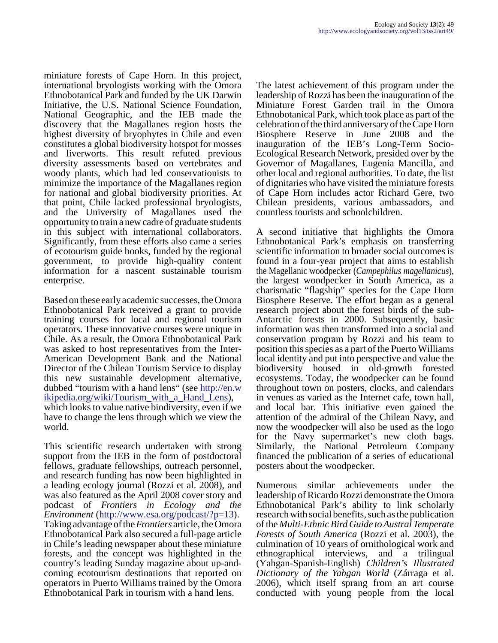miniature forests of Cape Horn. In this project, international bryologists working with the Omora Ethnobotanical Park and funded by the UK Darwin Initiative, the U.S. National Science Foundation, National Geographic, and the IEB made the discovery that the Magallanes region hosts the highest diversity of bryophytes in Chile and even constitutes a global biodiversity hotspot for mosses and liverworts. This result refuted previous diversity assessments based on vertebrates and woody plants, which had led conservationists to minimize the importance of the Magallanes region for national and global biodiversity priorities. At that point, Chile lacked professional bryologists, and the University of Magallanes used the opportunity to train a new cadre of graduate students in this subject with international collaborators. Significantly, from these efforts also came a series of ecotourism guide books, funded by the regional government, to provide high-quality content information for a nascent sustainable tourism enterprise.

Based on these early academic successes, the Omora Ethnobotanical Park received a grant to provide training courses for local and regional tourism operators. These innovative courses were unique in Chile. As a result, the Omora Ethnobotanical Park was asked to host representatives from the Inter-American Development Bank and the National Director of the Chilean Tourism Service to display this new sustainable development alternative, dubbed "tourism with a hand lens" (see [http://en.w](http://en.wikipedia.org/wiki/Tourism_with_a_Hand_Lens) [ikipedia.org/wiki/Tourism\\_with\\_a\\_Hand\\_Lens](http://en.wikipedia.org/wiki/Tourism_with_a_Hand_Lens)), which looks to value native biodiversity, even if we have to change the lens through which we view the world.

This scientific research undertaken with strong support from the IEB in the form of postdoctoral fellows, graduate fellowships, outreach personnel, and research funding has now been highlighted in a leading ecology journal (Rozzi et al. 2008), and was also featured as the April 2008 cover story and podcast of *Frontiers in Ecology and the Environment* (<http://www.esa.org/podcast/?p=13>). Taking advantage of the *Frontiers* article, the Omora Ethnobotanical Park also secured a full-page article in Chile's leading newspaper about these miniature forests, and the concept was highlighted in the country's leading Sunday magazine about up-andcoming ecotourism destinations that reported on operators in Puerto Williams trained by the Omora Ethnobotanical Park in tourism with a hand lens.

The latest achievement of this program under the leadership of Rozzi has been the inauguration of the Miniature Forest Garden trail in the Omora Ethnobotanical Park, which took place as part of the celebration of the third anniversary of the Cape Horn Biosphere Reserve in June 2008 and the inauguration of the IEB's Long-Term Socio-Ecological Research Network, presided over by the Governor of Magallanes, Eugenia Mancilla, and other local and regional authorities. To date, the list of dignitaries who have visited the miniature forests of Cape Horn includes actor Richard Gere, two Chilean presidents, various ambassadors, and countless tourists and schoolchildren.

A second initiative that highlights the Omora Ethnobotanical Park's emphasis on transferring scientific information to broader social outcomes is found in a four-year project that aims to establish the Magellanic woodpecker (*Campephilus magellanicus*), the largest woodpecker in South America, as a charismatic "flagship" species for the Cape Horn Biosphere Reserve. The effort began as a general research project about the forest birds of the sub-Antarctic forests in 2000. Subsequently, basic information was then transformed into a social and conservation program by Rozzi and his team to position this species as a part of the Puerto Williams local identity and put into perspective and value the biodiversity housed in old-growth forested ecosystems. Today, the woodpecker can be found throughout town on posters, clocks, and calendars in venues as varied as the Internet cafe, town hall, and local bar. This initiative even gained the attention of the admiral of the Chilean Navy, and now the woodpecker will also be used as the logo for the Navy supermarket's new cloth bags. Similarly, the National Petroleum Company financed the publication of a series of educational posters about the woodpecker.

Numerous similar achievements under the leadership of Ricardo Rozzi demonstrate the Omora Ethnobotanical Park's ability to link scholarly research with social benefits, such as the publication of the *Multi-Ethnic Bird Guide to Austral Temperate Forests of South America* (Rozzi et al. 2003), the culmination of 10 years of ornithological work and ethnographical interviews, and a trilingual (Yahgan-Spanish-English) *Children's Illustrated Dictionary of the Yahgan World* (Zárraga et al. 2006), which itself sprang from an art course conducted with young people from the local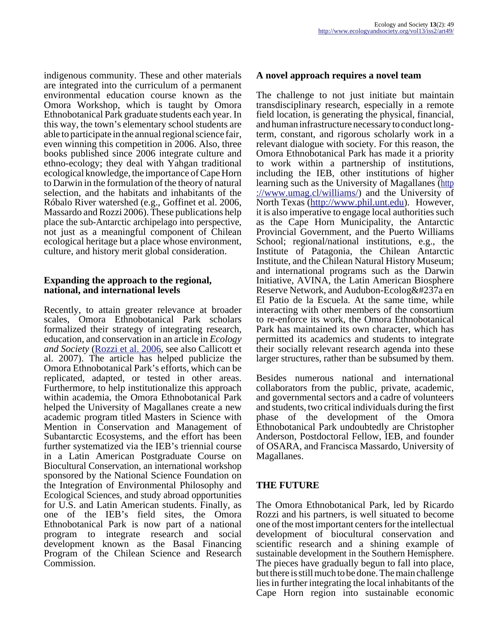indigenous community. These and other materials are integrated into the curriculum of a permanent environmental education course known as the Omora Workshop, which is taught by Omora Ethnobotanical Park graduate students each year. In this way, the town's elementary school students are able to participate in the annual regional science fair, even winning this competition in 2006. Also, three books published since 2006 integrate culture and ethno-ecology; they deal with Yahgan traditional ecological knowledge, the importance of Cape Horn to Darwin in the formulation of the theory of natural selection, and the habitats and inhabitants of the Róbalo River watershed (e.g., Goffinet et al. 2006, Massardo and Rozzi 2006). These publications help place the sub-Antarctic archipelago into perspective, not just as a meaningful component of Chilean ecological heritage but a place whose environment, culture, and history merit global consideration.

## **Expanding the approach to the regional, national, and international levels**

Recently, to attain greater relevance at broader scales, Omora Ethnobotanical Park scholars formalized their strategy of integrating research, education, and conservation in an article in *Ecology and Society* ([Rozzi et al. 2006,](http://www.ecologyandsociety.org/vol11/iss1/art43/) see also Callicott et al. 2007). The article has helped publicize the Omora Ethnobotanical Park's efforts, which can be replicated, adapted, or tested in other areas. Furthermore, to help institutionalize this approach within academia, the Omora Ethnobotanical Park helped the University of Magallanes create a new academic program titled Masters in Science with Mention in Conservation and Management of Subantarctic Ecosystems, and the effort has been further systematized via the IEB's triennial course in a Latin American Postgraduate Course on Biocultural Conservation, an international workshop sponsored by the National Science Foundation on the Integration of Environmental Philosophy and Ecological Sciences, and study abroad opportunities for U.S. and Latin American students. Finally, as one of the IEB's field sites, the Omora Ethnobotanical Park is now part of a national program to integrate research and social development known as the Basal Financing Program of the Chilean Science and Research Commission.

## **A novel approach requires a novel team**

The challenge to not just initiate but maintain transdisciplinary research, especially in a remote field location, is generating the physical, financial, and human infrastructure necessary to conduct longterm, constant, and rigorous scholarly work in a relevant dialogue with society. For this reason, the Omora Ethnobotanical Park has made it a priority to work within a partnership of institutions, including the IEB, other institutions of higher learning such as the University of Magallanes ([http](http://www.umag.cl/williams/) [://www.umag.cl/williams/](http://www.umag.cl/williams/)) and the University of North Texas ([http://www.phil.unt.edu\)](http://www.phil.unt.edu). However, it is also imperative to engage local authorities such as the Cape Horn Municipality, the Antarctic Provincial Government, and the Puerto Williams School; regional/national institutions, e.g., the Institute of Patagonia, the Chilean Antarctic Institute, and the Chilean Natural History Museum; and international programs such as the Darwin Initiative, AVINA, the Latin American Biosphere Reserve Network, and Audubon-Ecolog $&\#237a$  en El Patio de la Escuela. At the same time, while interacting with other members of the consortium to re-enforce its work, the Omora Ethnobotanical Park has maintained its own character, which has permitted its academics and students to integrate their socially relevant research agenda into these larger structures, rather than be subsumed by them.

Besides numerous national and international collaborators from the public, private, academic, and governmental sectors and a cadre of volunteers and students, two critical individuals during the first phase of the development of the Omora Ethnobotanical Park undoubtedly are Christopher Anderson, Postdoctoral Fellow, IEB, and founder of OSARA, and Francisca Massardo, University of Magallanes.

### **THE FUTURE**

The Omora Ethnobotanical Park, led by Ricardo Rozzi and his partners, is well situated to become one of the most important centers for the intellectual development of biocultural conservation and scientific research and a shining example of sustainable development in the Southern Hemisphere. The pieces have gradually begun to fall into place, but there is still much to be done. The main challenge lies in further integrating the local inhabitants of the Cape Horn region into sustainable economic